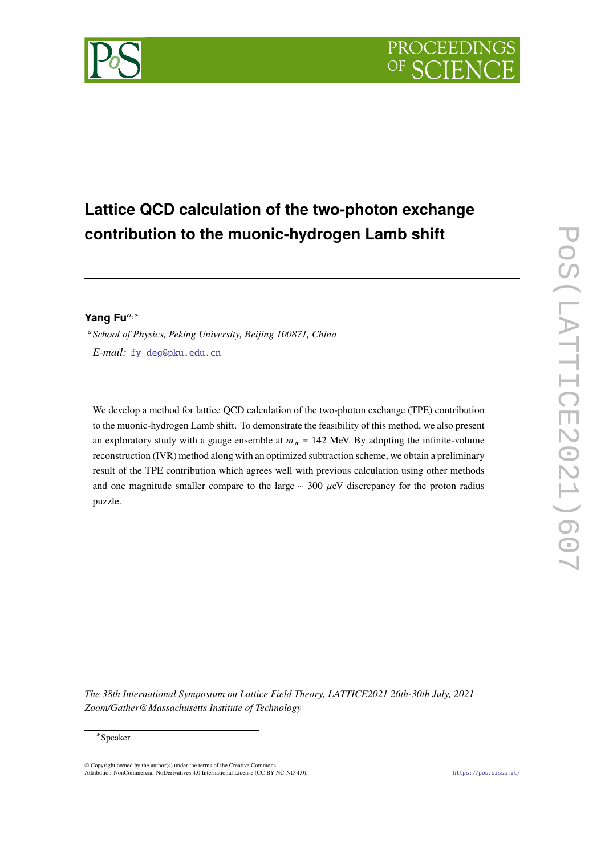

# **Lattice QCD calculation of the two-photon exchange contribution to the muonic-hydrogen Lamb shift**

## Yang Fu<sup>a,∗</sup>

 *School of Physics, Peking University, Beijing 100871, China E-mail:* [fy\\_deg@pku.edu.cn](mailto:fy_deg@pku.edu.cn)

We develop a method for lattice QCD calculation of the two-photon exchange (TPE) contribution to the muonic-hydrogen Lamb shift. To demonstrate the feasibility of this method, we also present an exploratory study with a gauge ensemble at  $m_{\pi}$  = 142 MeV. By adopting the infinite-volume reconstruction (IVR) method along with an optimized subtraction scheme, we obtain a preliminary result of the TPE contribution which agrees well with previous calculation using other methods and one magnitude smaller compare to the large  $~\sim$  300  $\mu$ eV discrepancy for the proton radius puzzle.

*The 38th International Symposium on Lattice Field Theory, LATTICE2021 26th-30th July, 2021 Zoom/Gather@Massachusetts Institute of Technology*

## ∗ Speaker

© Copyright owned by the author(s) under the terms of the Creative Commons Attribution-NonCommercial-NoDerivatives 4.0 International License (CC BY-NC-ND 4.0). <https://pos.sissa.it/>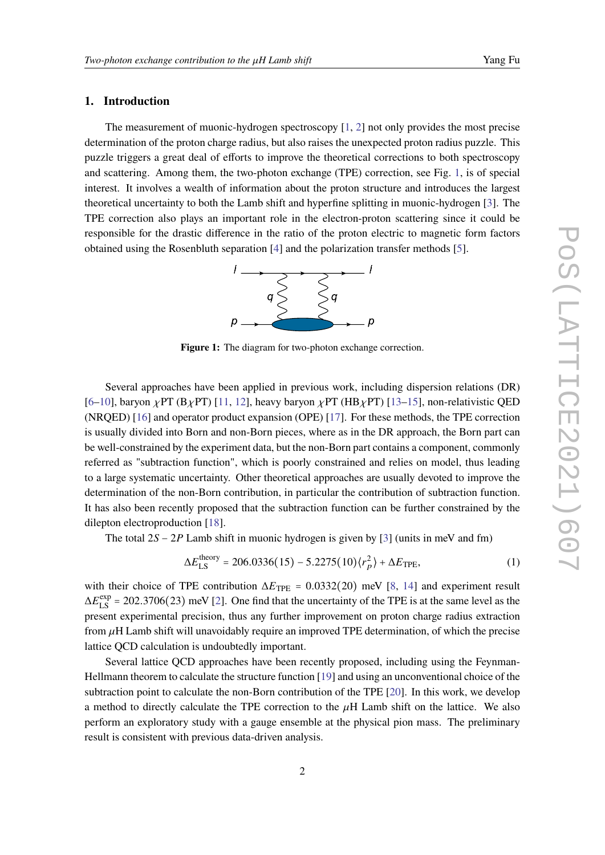## **1. Introduction**

The measurement of muonic-hydrogen spectroscopy [\[1,](#page-8-0) [2\]](#page-8-1) not only provides the most precise determination of the proton charge radius, but also raises the unexpected proton radius puzzle. This puzzle triggers a great deal of efforts to improve the theoretical corrections to both spectroscopy and scattering. Among them, the two-photon exchange (TPE) correction, see Fig. [1,](#page-1-0) is of special interest. It involves a wealth of information about the proton structure and introduces the largest theoretical uncertainty to both the Lamb shift and hyperfine splitting in muonic-hydrogen [\[3\]](#page-8-2). The TPE correction also plays an important role in the electron-proton scattering since it could be responsible for the drastic difference in the ratio of the proton electric to magnetic form factors obtained using the Rosenbluth separation [\[4\]](#page-8-3) and the polarization transfer methods [\[5\]](#page-8-4).



Figure 1: The diagram for two-photon exchange correction.

<span id="page-1-0"></span>Several approaches have been applied in previous work, including dispersion relations (DR)  $[6–10]$  $[6–10]$ , baryon  $\chi$ PT (B $\chi$ PT) [\[11,](#page-9-1) [12\]](#page-9-2), heavy baryon  $\chi$ PT (HB $\chi$ PT) [\[13–](#page-9-3)[15\]](#page-9-4), non-relativistic QED (NRQED) [\[16\]](#page-9-5) and operator product expansion (OPE) [\[17\]](#page-9-6). For these methods, the TPE correction is usually divided into Born and non-Born pieces, where as in the DR approach, the Born part can be well-constrained by the experiment data, but the non-Born part contains a component, commonly referred as "subtraction function", which is poorly constrained and relies on model, thus leading to a large systematic uncertainty. Other theoretical approaches are usually devoted to improve the determination of the non-Born contribution, in particular the contribution of subtraction function. It has also been recently proposed that the subtraction function can be further constrained by the dilepton electroproduction [\[18\]](#page-9-7).

The total  $2S - 2P$  Lamb shift in muonic hydrogen is given by [\[3\]](#page-8-2) (units in meV and fm)

<span id="page-1-1"></span>
$$
\Delta E_{LS}^{\text{theory}} = 206.0336(15) - 5.2275(10)\langle r_p^2 \rangle + \Delta E_{\text{TPE}},\tag{1}
$$

with their choice of TPE contribution  $\Delta E_{\text{TPE}} = 0.0332(20)$  meV [\[8,](#page-9-8) [14\]](#page-9-9) and experiment result  $\Delta E_{LS}^{\text{exp}}$  = 202.3706(23) meV [\[2\]](#page-8-1). One find that the uncertainty of the TPE is at the same level as the present experimental precision, thus any further improvement on proton charge radius extraction from  $\mu$ H Lamb shift will unavoidably require an improved TPE determination, of which the precise lattice QCD calculation is undoubtedly important.

Several lattice QCD approaches have been recently proposed, including using the Feynman-Hellmann theorem to calculate the structure function [\[19\]](#page-9-10) and using an unconventional choice of the subtraction point to calculate the non-Born contribution of the TPE [\[20\]](#page-9-11). In this work, we develop a method to directly calculate the TPE correction to the  $\mu$ H Lamb shift on the lattice. We also perform an exploratory study with a gauge ensemble at the physical pion mass. The preliminary result is consistent with previous data-driven analysis.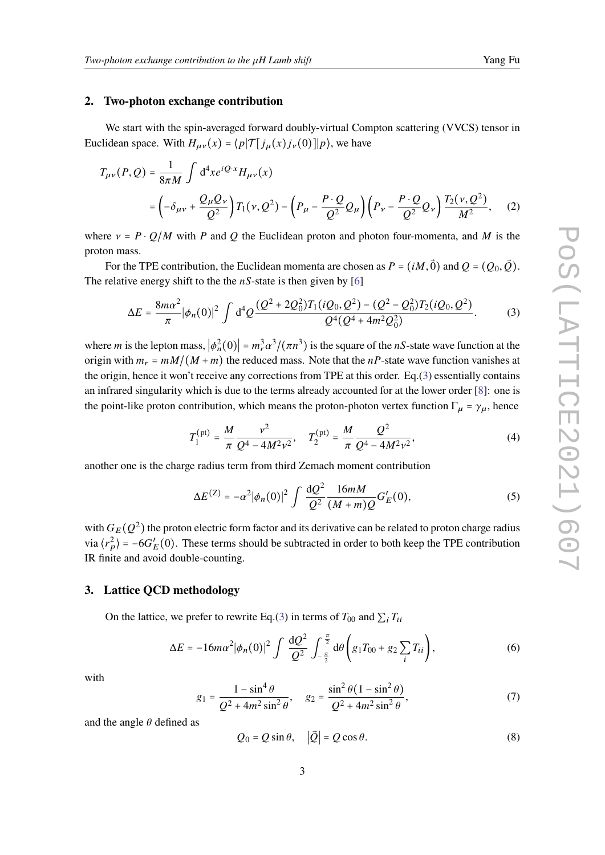#### **2. Two-photon exchange contribution**

We start with the spin-averaged forward doubly-virtual Compton scattering (VVCS) tensor in Euclidean space. With  $H_{\mu\nu}(x) = \langle p| \mathcal{T} [j_{\mu}(x) j_{\nu}(0)]|p\rangle$ , we have

$$
T_{\mu\nu}(P,Q) = \frac{1}{8\pi M} \int d^4x e^{iQ \cdot x} H_{\mu\nu}(x)
$$
  
=  $\left( -\delta_{\mu\nu} + \frac{Q_{\mu}Q_{\nu}}{Q^2} \right) T_1(\nu, Q^2) - \left( P_{\mu} - \frac{P \cdot Q}{Q^2} Q_{\mu} \right) \left( P_{\nu} - \frac{P \cdot Q}{Q^2} Q_{\nu} \right) \frac{T_2(\nu, Q^2)}{M^2},$  (2)

where  $v = P \cdot Q/M$  with P and Q the Euclidean proton and photon four-momenta, and M is the proton mass.

For the TPE contribution, the Euclidean momenta are chosen as  $P = (iM, \vec{0})$  and  $Q = (Q_0, \vec{Q})$ . The relative energy shift to the the  $nS$ -state is then given by [\[6\]](#page-8-5)

$$
\Delta E = \frac{8m\alpha^2}{\pi} |\phi_n(0)|^2 \int d^4 Q \frac{(Q^2 + 2Q_0^2)T_1(iQ_0, Q^2) - (Q^2 - Q_0^2)T_2(iQ_0, Q^2)}{Q^4(Q^4 + 4m^2Q_0^2)}.
$$
 (3)

where *m* is the lepton mass,  $|\phi_n^2(0)| = m_r^3 \alpha^3/(\pi n^3)$  is the square of the *nS*-state wave function at the origin with  $m_r = mM/(M + m)$  the reduced mass. Note that the nP-state wave function vanishes at the origin, hence it won't receive any corrections from TPE at this order. Eq.[\(3\)](#page-2-0) essentially contains an infrared singularity which is due to the terms already accounted for at the lower order [\[8\]](#page-9-8): one is the point-like proton contribution, which means the proton-photon vertex function  $\Gamma_{\mu} = \gamma_{\mu}$ , hence

<span id="page-2-2"></span><span id="page-2-1"></span><span id="page-2-0"></span>
$$
T_1^{\text{(pt)}} = \frac{M}{\pi} \frac{v^2}{Q^4 - 4M^2 v^2}, \quad T_2^{\text{(pt)}} = \frac{M}{\pi} \frac{Q^2}{Q^4 - 4M^2 v^2},\tag{4}
$$

another one is the charge radius term from third Zemach moment contribution

<span id="page-2-4"></span>
$$
\Delta E^{(Z)} = -\alpha^2 |\phi_n(0)|^2 \int \frac{\mathrm{d}Q^2}{Q^2} \frac{16mM}{(M+m)Q} G'_E(0),\tag{5}
$$

with  $G_E(Q^2)$  the proton electric form factor and its derivative can be related to proton charge radius via  $\langle r_p^2 \rangle = -6G_E'(0)$ . These terms should be subtracted in order to both keep the TPE contribution IR finite and avoid double-counting.

#### **3. Lattice QCD methodology**

On the lattice, we prefer to rewrite Eq.[\(3\)](#page-2-0) in terms of  $T_{00}$  and  $\sum_i T_{ii}$ 

<span id="page-2-3"></span>
$$
\Delta E = -16m\alpha^2 |\phi_n(0)|^2 \int \frac{\mathrm{d}Q^2}{Q^2} \int_{-\frac{\pi}{2}}^{\frac{\pi}{2}} \mathrm{d}\theta \left( g_1 T_{00} + g_2 \sum_i T_{ii} \right), \tag{6}
$$

with

$$
g_1 = \frac{1 - \sin^4 \theta}{Q^2 + 4m^2 \sin^2 \theta}, \quad g_2 = \frac{\sin^2 \theta (1 - \sin^2 \theta)}{Q^2 + 4m^2 \sin^2 \theta},
$$
(7)

and the angle  $\theta$  defined as

<span id="page-2-5"></span>
$$
Q_0 = Q \sin \theta, \quad |\vec{Q}| = Q \cos \theta. \tag{8}
$$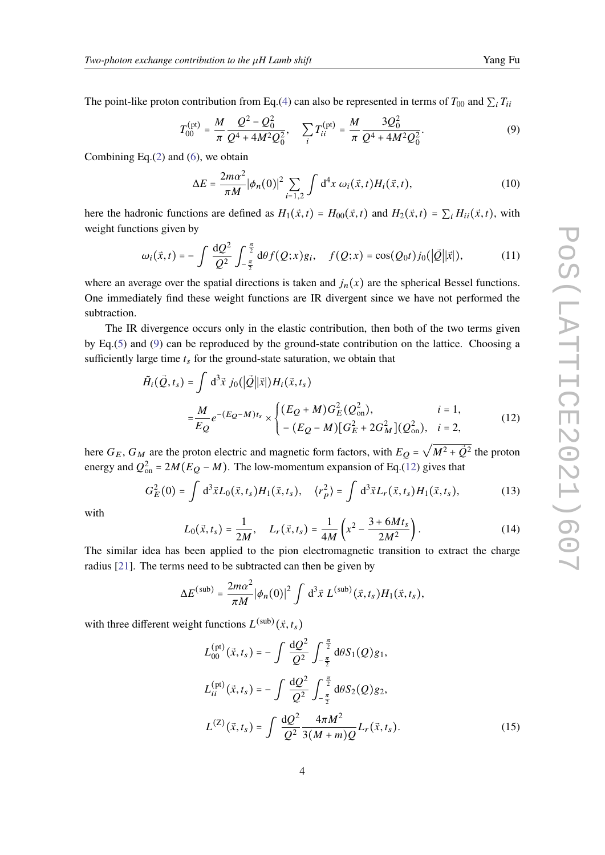The point-like proton contribution from Eq.[\(4\)](#page-2-1) can also be represented in terms of  $T_{00}$  and  $\sum_i T_{ii}$ 

<span id="page-3-0"></span>
$$
T_{00}^{(\text{pt})} = \frac{M}{\pi} \frac{Q^2 - Q_0^2}{Q^4 + 4M^2 Q_0^2}, \quad \sum_i T_{ii}^{(\text{pt})} = \frac{M}{\pi} \frac{3Q_0^2}{Q^4 + 4M^2 Q_0^2}.
$$
 (9)

Combining Eq. $(2)$  and  $(6)$ , we obtain

$$
\Delta E = \frac{2m\alpha^2}{\pi M} |\phi_n(0)|^2 \sum_{i=1,2} \int d^4x \, \omega_i(\vec{x}, t) H_i(\vec{x}, t), \tag{10}
$$

here the hadronic functions are defined as  $H_1(\vec{x}, t) = H_{00}(\vec{x}, t)$  and  $H_2(\vec{x}, t) = \sum_i H_{ii}(\vec{x}, t)$ , with weight functions given by

$$
\omega_i(\vec{x},t) = -\int \frac{\mathrm{d}Q^2}{Q^2} \int_{-\frac{\pi}{2}}^{\frac{\pi}{2}} \mathrm{d}\theta f(Q;x)g_i, \quad f(Q;x) = \cos(Q_0 t) j_0(|\vec{Q}||\vec{x}|), \tag{11}
$$

where an average over the spatial directions is taken and  $j_n(x)$  are the spherical Bessel functions. One immediately find these weight functions are IR divergent since we have not performed the subtraction.

The IR divergence occurs only in the elastic contribution, then both of the two terms given by Eq.[\(5\)](#page-2-4) and [\(9\)](#page-3-0) can be reproduced by the ground-state contribution on the lattice. Choosing a sufficiently large time  $t_s$  for the ground-state saturation, we obtain that

$$
\tilde{H}_{i}(\vec{Q},t_{s}) = \int d^{3}\vec{x} \; j_{0}(|\vec{Q}||\vec{x}|)H_{i}(\vec{x},t_{s})
$$
\n
$$
= \frac{M}{E_{Q}} e^{-(E_{Q}-M)t_{s}} \times \begin{cases}\n(E_{Q}+M)G_{E}^{2}(Q_{\text{on}}^{2}), & i=1, \\
-(E_{Q}-M)[G_{E}^{2}+2G_{M}^{2}](Q_{\text{on}}^{2}), & i=2,\n\end{cases}
$$
\n(12)

here  $G_E$ ,  $G_M$  are the proton electric and magnetic form factors, with  $E_Q$  =  $\sqrt{M^2 + \vec{Q}^2}$  the proton energy and  $Q_{\text{on}}^2 = 2M(E_Q - M)$ . The low-momentum expansion of Eq.[\(12\)](#page-3-1) gives that

$$
G_E^2(0) = \int d^3 \vec{x} L_0(\vec{x}, t_s) H_1(\vec{x}, t_s), \quad \langle r_p^2 \rangle = \int d^3 \vec{x} L_r(\vec{x}, t_s) H_1(\vec{x}, t_s), \tag{13}
$$

with

<span id="page-3-1"></span>
$$
L_0(\vec{x}, t_s) = \frac{1}{2M}, \quad L_r(\vec{x}, t_s) = \frac{1}{4M} \left( x^2 - \frac{3 + 6Mt_s}{2M^2} \right). \tag{14}
$$

The similar idea has been applied to the pion electromagnetic transition to extract the charge radius [\[21\]](#page-9-12). The terms need to be subtracted can then be given by

$$
\Delta E^{\text{(sub)}} = \frac{2m\alpha^2}{\pi M} |\phi_n(0)|^2 \int d^3\vec{x} L^{\text{(sub)}}(\vec{x},t_s) H_1(\vec{x},t_s),
$$

with three different weight functions  $L^{(\text{sub})}(\vec{x}, t_s)$ 

$$
L_{00}^{(\text{pt})}(\vec{x},t_s) = -\int \frac{\mathrm{d}Q^2}{Q^2} \int_{-\frac{\pi}{2}}^{\frac{\pi}{2}} \mathrm{d}\theta S_1(Q)g_1,
$$
  
\n
$$
L_{ii}^{(\text{pt})}(\vec{x},t_s) = -\int \frac{\mathrm{d}Q^2}{Q^2} \int_{-\frac{\pi}{2}}^{\frac{\pi}{2}} \mathrm{d}\theta S_2(Q)g_2,
$$
  
\n
$$
L^{(Z)}(\vec{x},t_s) = \int \frac{\mathrm{d}Q^2}{Q^2} \frac{4\pi M^2}{3(M+m)Q} L_r(\vec{x},t_s).
$$
 (15)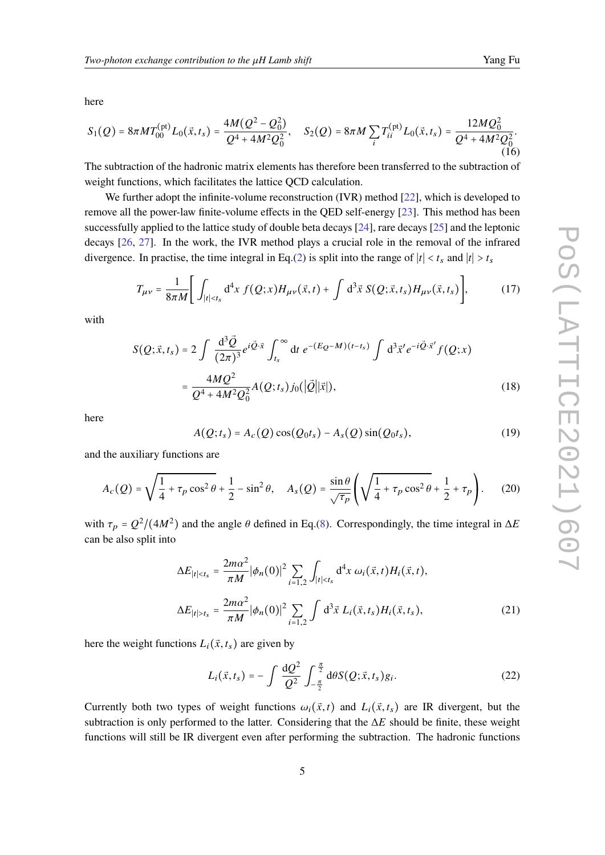here

$$
S_1(Q) = 8\pi M T_{00}^{(\text{pt})} L_0(\vec{x}, t_s) = \frac{4M(Q^2 - Q_0^2)}{Q^4 + 4M^2Q_0^2}, \quad S_2(Q) = 8\pi M \sum_{i} T_{ii}^{(\text{pt})} L_0(\vec{x}, t_s) = \frac{12MQ_0^2}{Q^4 + 4M^2Q_0^2}.
$$
 (16)

The subtraction of the hadronic matrix elements has therefore been transferred to the subtraction of weight functions, which facilitates the lattice QCD calculation.

We further adopt the infinite-volume reconstruction (IVR) method [\[22\]](#page-10-0), which is developed to remove all the power-law finite-volume effects in the QED self-energy [\[23\]](#page-10-1). This method has been successfully applied to the lattice study of double beta decays [\[24\]](#page-10-2), rare decays [\[25\]](#page-10-3) and the leptonic decays [\[26,](#page-10-4) [27\]](#page-10-5). In the work, the IVR method plays a crucial role in the removal of the infrared divergence. In practise, the time integral in Eq.[\(2\)](#page-2-2) is split into the range of  $|t| < t_s$  and  $|t| > t_s$ 

<span id="page-4-0"></span>
$$
T_{\mu\nu} = \frac{1}{8\pi M} \Bigg[ \int_{|t| < t_s} d^4x \ f(Q; x) H_{\mu\nu}(\vec{x}, t) + \int d^3\vec{x} \ S(Q; \vec{x}, t_s) H_{\mu\nu}(\vec{x}, t_s) \Bigg], \tag{17}
$$

with

$$
S(Q; \vec{x}, t_s) = 2 \int \frac{d^3 \vec{Q}}{(2\pi)^3} e^{i\vec{Q} \cdot \vec{x}} \int_{t_s}^{\infty} dt \ e^{-(E_Q - M)(t - t_s)} \int d^3 \vec{x}' e^{-i\vec{Q} \cdot \vec{x}'} f(Q; x)
$$
  
= 
$$
\frac{4MQ^2}{Q^4 + 4M^2 Q_0^2} A(Q; t_s) j_0(|\vec{Q}||\vec{x}|),
$$
 (18)

here

$$
A(Q; t_s) = A_c(Q)\cos(Q_0t_s) - A_s(Q)\sin(Q_0t_s), \qquad (19)
$$

and the auxiliary functions are

$$
A_c(Q) = \sqrt{\frac{1}{4} + \tau_p \cos^2 \theta} + \frac{1}{2} - \sin^2 \theta, \quad A_s(Q) = \frac{\sin \theta}{\sqrt{\tau_p}} \left( \sqrt{\frac{1}{4} + \tau_p \cos^2 \theta} + \frac{1}{2} + \tau_p \right). \tag{20}
$$

with  $\tau_p = Q^2/(4M^2)$  and the angle  $\theta$  defined in Eq.[\(8\)](#page-2-5). Correspondingly, the time integral in  $\Delta E$ can be also split into

$$
\Delta E_{|t| < t_s} = \frac{2m\alpha^2}{\pi M} |\phi_n(0)|^2 \sum_{i=1,2} \int_{|t| < t_s} d^4 x \, \omega_i(\vec{x}, t) H_i(\vec{x}, t),
$$
\n
$$
\Delta E_{|t| > t_s} = \frac{2m\alpha^2}{\pi M} |\phi_n(0)|^2 \sum_{i=1,2} \int d^3 \vec{x} \, L_i(\vec{x}, t_s) H_i(\vec{x}, t_s), \tag{21}
$$

here the weight functions  $L_i(\vec{x}, t_s)$  are given by

<span id="page-4-1"></span>
$$
L_i(\vec{x}, t_s) = -\int \frac{\mathrm{d}Q^2}{Q^2} \int_{-\frac{\pi}{2}}^{\frac{\pi}{2}} \mathrm{d}\theta S(Q; \vec{x}, t_s) g_i. \tag{22}
$$

Currently both two types of weight functions  $\omega_i(\vec{x}, t)$  and  $L_i(\vec{x}, t_s)$  are IR divergent, but the subtraction is only performed to the latter. Considering that the  $\Delta E$  should be finite, these weight functions will still be IR divergent even after performing the subtraction. The hadronic functions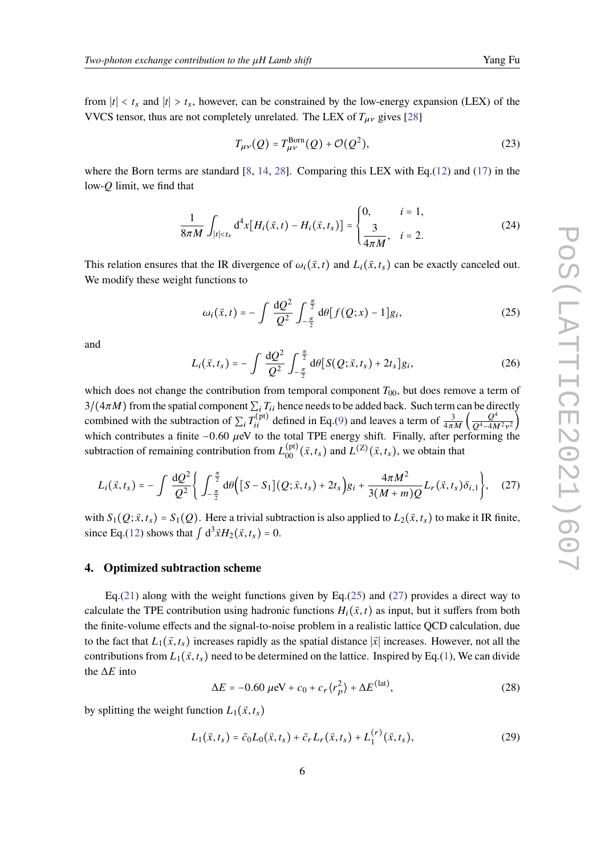from  $|t| < t_s$  and  $|t| > t_s$ , however, can be constrained by the low-energy expansion (LEX) of the VVCS tensor, thus are not completely unrelated. The LEX of  $T_{\mu\nu}$  gives [\[28\]](#page-10-6)

$$
T_{\mu\nu}(Q) = T_{\mu\nu}^{\text{Born}}(Q) + \mathcal{O}(Q^2),\tag{23}
$$

where the Born terms are standard  $[8, 14, 28]$  $[8, 14, 28]$  $[8, 14, 28]$  $[8, 14, 28]$  $[8, 14, 28]$ . Comparing this LEX with Eq.[\(12\)](#page-3-1) and [\(17\)](#page-4-0) in the low- $O$  limit, we find that

$$
\frac{1}{8\pi M} \int_{|t| < t_s} \mathrm{d}^4 x \big[ H_i(\vec{x}, t) - H_i(\vec{x}, t_s) \big] = \begin{cases} 0, & i = 1, \\ \frac{3}{4\pi M}, & i = 2. \end{cases} \tag{24}
$$

This relation ensures that the IR divergence of  $\omega_i(\vec{x}, t)$  and  $L_i(\vec{x}, t_s)$  can be exactly canceled out. We modify these weight functions to

<span id="page-5-0"></span>
$$
\omega_i(\vec{x},t) = -\int \frac{\mathrm{d}Q^2}{Q^2} \int_{-\frac{\pi}{2}}^{\frac{\pi}{2}} \mathrm{d}\theta [f(Q;x) - 1] g_i, \tag{25}
$$

and

$$
L_i(\vec{x}, t_s) = -\int \frac{\mathrm{d}Q^2}{Q^2} \int_{-\frac{\pi}{2}}^{\frac{\pi}{2}} \mathrm{d}\theta \big[ S(Q; \vec{x}, t_s) + 2t_s \big] g_i, \tag{26}
$$

which does not change the contribution from temporal component  $T_{00}$ , but does remove a term of  $3/(4\pi M)$  from the spatial component  $\sum_i T_{ii}$  hence needs to be added back. Such term can be directly combined with the subtraction of  $\sum_i T_{ii}^{(\text{pt})}$  defined in Eq.[\(9\)](#page-3-0) and leaves a term of  $\frac{3}{4\pi M} \left( \frac{Q^4}{Q^4 - 4M} \right)$  $\frac{Q}{Q^4 - 4M^2v^2}$ which contributes a finite –0.60  $\mu$ eV to the total TPE energy shift. Finally, after performing the subtraction of remaining contribution from  $L_{00}^{(\text{pt})}(\vec{x}, t_s)$  and  $L^{(Z)}(\vec{x}, t_s)$ , we obtain that

<span id="page-5-1"></span>
$$
L_i(\vec{x}, t_s) = -\int \frac{\mathrm{d}Q^2}{Q^2} \Bigg\{ \int_{-\frac{\pi}{2}}^{\frac{\pi}{2}} \mathrm{d}\theta \Big( [S - S_1](Q; \vec{x}, t_s) + 2t_s \Big) g_i + \frac{4\pi M^2}{3(M+m)Q} L_r(\vec{x}, t_s) \delta_{i,1} \Bigg\}, \quad (27)
$$

with  $S_1(Q; \vec{x}, t_s) = S_1(Q)$ . Here a trivial subtraction is also applied to  $L_2(\vec{x}, t_s)$  to make it IR finite, since Eq.[\(12\)](#page-3-1) shows that  $\int d^3 \vec{x} H_2(\vec{x}, t_s) = 0$ .

#### **4. Optimized subtraction scheme**

Eq.[\(21\)](#page-4-1) along with the weight functions given by Eq.[\(25\)](#page-5-0) and [\(27\)](#page-5-1) provides a direct way to calculate the TPE contribution using hadronic functions  $H_i(\vec{x}, t)$  as input, but it suffers from both the finite-volume effects and the signal-to-noise problem in a realistic lattice QCD calculation, due to the fact that  $L_1(\vec{x}, t_s)$  increases rapidly as the spatial distance  $|\vec{x}|$  increases. However, not all the contributions from  $L_1(\vec{x}, t_s)$  need to be determined on the lattice. Inspired by Eq.[\(1\)](#page-1-1), We can divide the  $\Delta E$  into

$$
\Delta E = -0.60 \,\mu\text{eV} + c_0 + c_r \langle r_p^2 \rangle + \Delta E^{\text{(lat)}},\tag{28}
$$

by splitting the weight function  $L_1(\vec{x}, t_s)$ 

$$
L_1(\vec{x}, t_s) = \bar{c}_0 L_0(\vec{x}, t_s) + \bar{c}_r L_r(\vec{x}, t_s) + L_1^{(r)}(\vec{x}, t_s),
$$
\n(29)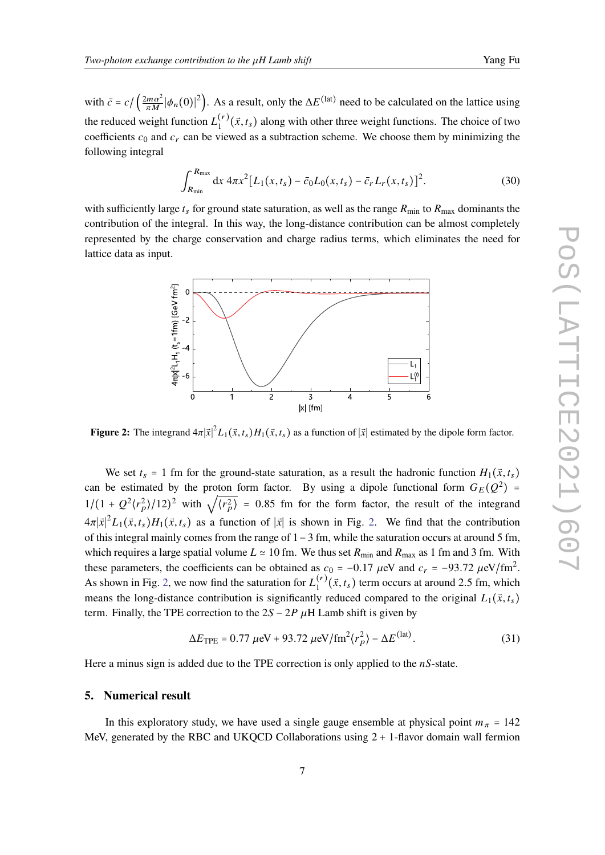with  $\bar{c} = c / (\frac{2m\alpha^2}{\pi M} |\phi_n(0)|^2)$ . As a result, only the  $\Delta E^{(\text{lat})}$  need to be calculated on the lattice using the reduced weight function  $L_1^{(r)}(\vec{x}, t_s)$  along with other three weight functions. The choice of two coefficients  $c_0$  and  $c_r$  can be viewed as a subtraction scheme. We choose them by minimizing the following integral

$$
\int_{R_{\min}}^{R_{\max}} dx \, 4\pi x^2 [L_1(x, t_s) - \bar{c}_0 L_0(x, t_s) - \bar{c}_r L_r(x, t_s)]^2.
$$
 (30)

<span id="page-6-0"></span>with sufficiently large  $t_s$  for ground state saturation, as well as the range  $R_{\text{min}}$  to  $R_{\text{max}}$  dominants the contribution of the integral. In this way, the long-distance contribution can be almost completely represented by the charge conservation and charge radius terms, which eliminates the need for lattice data as input.



**Figure 2:** The integrand  $4\pi |\vec{x}|^2 L_1(\vec{x}, t_s) H_1(\vec{x}, t_s)$  as a function of  $|\vec{x}|$  estimated by the dipole form factor.

We set  $t_s = 1$  fm for the ground-state saturation, as a result the hadronic function  $H_1(\vec{x}, t_s)$ can be estimated by the proton form factor. By using a dipole functional form  $G_E(Q^2)$  = can be estimated by the proton form factor. By using a upone functional form  $G_E(Q)$  –<br> $1/(1 + Q^2 \langle r_p^2 \rangle / 12)^2$  with  $\sqrt{\langle r_p^2 \rangle} = 0.85$  fm for the form factor, the result of the integrand  $4\pi |\vec{x}|^2 L_1(\vec{x}, t_s) H_1(\vec{x}, t_s)$  as a function of  $|\vec{x}|$  is shown in Fig. [2.](#page-6-0) We find that the contribution of this integral mainly comes from the range of 1−3 fm, while the saturation occurs at around 5 fm, which requires a large spatial volume  $L \approx 10$  fm. We thus set  $R_{\text{min}}$  and  $R_{\text{max}}$  as 1 fm and 3 fm. With these parameters, the coefficients can be obtained as  $c_0 = -0.17 \mu\text{eV}$  and  $c_r = -93.72 \mu\text{eV}/\text{fm}^2$ . As shown in Fig. [2,](#page-6-0) we now find the saturation for  $L_1^{(r)}(\vec{x}, t_s)$  term occurs at around 2.5 fm, which means the long-distance contribution is significantly reduced compared to the original  $L_1(\vec{x}, t_s)$ term. Finally, the TPE correction to the  $2S - 2P \mu H$  Lamb shift is given by

$$
\Delta E_{\text{TPE}} = 0.77 \ \mu\text{eV} + 93.72 \ \mu\text{eV/fm}^2 \langle r_p^2 \rangle - \Delta E^{\text{(lat)}}. \tag{31}
$$

Here a minus sign is added due to the TPE correction is only applied to the  $nS$ -state.

## **5. Numerical result**

In this exploratory study, we have used a single gauge ensemble at physical point  $m_{\pi} = 142$ MeV, generated by the RBC and UKQCD Collaborations using  $2 + 1$ -flavor domain wall fermion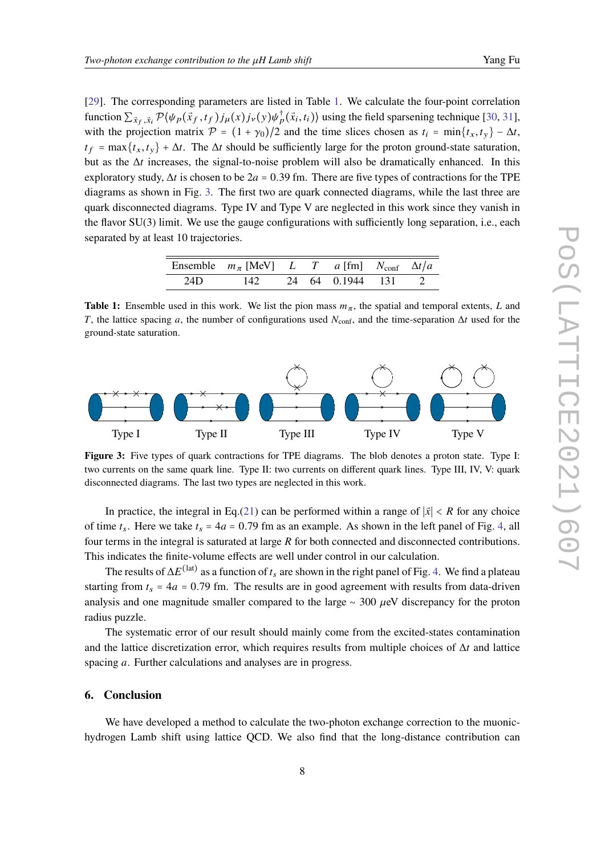[\[29\]](#page-10-7). The corresponding parameters are listed in Table [1.](#page-7-0) We calculate the four-point correlation function  $\sum_{\vec{x}_f, \vec{x}_i} \mathcal{P}(\psi_p(\vec{x}_f, t_f) j_\mu(x) j_\nu(y) \psi_p^\dagger(\vec{x}_i, t_i) )$  using the field sparsening technique [\[30,](#page-10-8) [31\]](#page-10-9), with the projection matrix  $\mathcal{P} = (1 + \gamma_0)/2$  and the time slices chosen as  $t_i = \min\{t_x, t_y\} - \Delta t$ ,  $t_f = \max\{t_x, t_y\} + \Delta t$ . The  $\Delta t$  should be sufficiently large for the proton ground-state saturation, but as the  $\Delta t$  increases, the signal-to-noise problem will also be dramatically enhanced. In this exploratory study,  $\Delta t$  is chosen to be 2a = 0.39 fm. There are five types of contractions for the TPE diagrams as shown in Fig. [3.](#page-7-1) The first two are quark connected diagrams, while the last three are quark disconnected diagrams. Type IV and Type V are neglected in this work since they vanish in the flavor SU(3) limit. We use the gauge configurations with sufficiently long separation, i.e., each separated by at least 10 trajectories.

|     | Ensemble $m_{\pi}$ [MeV] L T a [fm] $N_{\text{conf}}$ $\Delta t/a$ |  |  |  |
|-----|--------------------------------------------------------------------|--|--|--|
| 24D | 142 24 64 0.1944 131 2                                             |  |  |  |

<span id="page-7-0"></span>**Table 1:** Ensemble used in this work. We list the pion mass  $m_{\pi}$ , the spatial and temporal extents, L and T, the lattice spacing a, the number of configurations used  $N_{\text{conf}}$ , and the time-separation  $\Delta t$  used for the ground-state saturation.

<span id="page-7-1"></span>

**Figure 3:** Five types of quark contractions for TPE diagrams. The blob denotes a proton state. Type I: two currents on the same quark line. Type II: two currents on different quark lines. Type III, IV, V: quark disconnected diagrams. The last two types are neglected in this work.

In practice, the integral in Eq.[\(21\)](#page-4-1) can be performed within a range of  $|\vec{x}| < R$  for any choice of time  $t_s$ . Here we take  $t_s = 4a = 0.79$  fm as an example. As shown in the left panel of Fig. [4,](#page-8-6) all four terms in the integral is saturated at large  $R$  for both connected and disconnected contributions. This indicates the finite-volume effects are well under control in our calculation.

The results of  $\Delta E^{(\text{lat})}$  as a function of  $t_s$  are shown in the right panel of Fig. [4.](#page-8-6) We find a plateau starting from  $t_s = 4a = 0.79$  fm. The results are in good agreement with results from data-driven analysis and one magnitude smaller compared to the large  $~\sim$  300  $\mu$ eV discrepancy for the proton radius puzzle.

The systematic error of our result should mainly come from the excited-states contamination and the lattice discretization error, which requires results from multiple choices of  $\Delta t$  and lattice spacing  $a$ . Further calculations and analyses are in progress.

### **6. Conclusion**

We have developed a method to calculate the two-photon exchange correction to the muonichydrogen Lamb shift using lattice QCD. We also find that the long-distance contribution can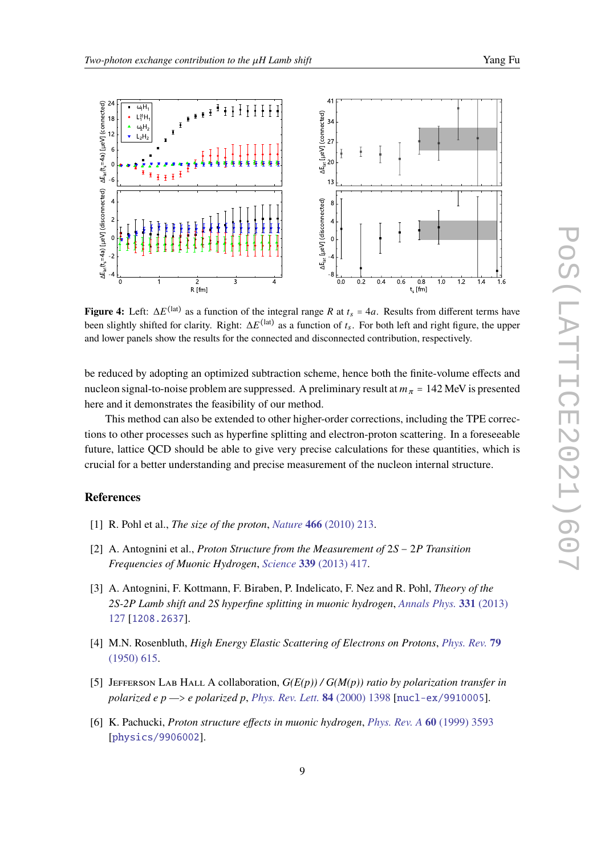<span id="page-8-6"></span>

**Figure 4:** Left:  $\Delta E^{(\text{lat})}$  as a function of the integral range R at  $t_s = 4a$ . Results from different terms have been slightly shifted for clarity. Right:  $\Delta E^{(\text{lat})}$  as a function of  $t_s$ . For both left and right figure, the upper and lower panels show the results for the connected and disconnected contribution, respectively.

be reduced by adopting an optimized subtraction scheme, hence both the finite-volume effects and nucleon signal-to-noise problem are suppressed. A preliminary result at  $m_{\pi}$  = 142 MeV is presented here and it demonstrates the feasibility of our method.

This method can also be extended to other higher-order corrections, including the TPE corrections to other processes such as hyperfine splitting and electron-proton scattering. In a foreseeable future, lattice QCD should be able to give very precise calculations for these quantities, which is crucial for a better understanding and precise measurement of the nucleon internal structure.

## **References**

- <span id="page-8-0"></span>[1] R. Pohl et al., *The size of the proton*, *Nature* **466** [\(2010\) 213.](https://doi.org/10.1038/nature09250)
- <span id="page-8-1"></span>[2] A. Antognini et al., *Proton Structure from the Measurement of* 2S − 2P Transition *Frequencies of Muonic Hydrogen*, *Science* **339** [\(2013\) 417.](https://doi.org/10.1126/science.1230016)
- <span id="page-8-2"></span>[3] A. Antognini, F. Kottmann, F. Biraben, P. Indelicato, F. Nez and R. Pohl, *Theory of the 2S-2P Lamb shift and 2S hyperfine splitting in muonic hydrogen*, *[Annals Phys.](https://doi.org/10.1016/j.aop.2012.12.003)* **331** (2013) [127](https://doi.org/10.1016/j.aop.2012.12.003) [[1208.2637](https://arxiv.org/abs/1208.2637)].
- <span id="page-8-3"></span>[4] M.N. Rosenbluth, *High Energy Elastic Scattering of Electrons on Protons*, *[Phys. Rev.](https://doi.org/10.1103/PhysRev.79.615)* **79** [\(1950\) 615.](https://doi.org/10.1103/PhysRev.79.615)
- <span id="page-8-4"></span>[5] JEFFERSON LAB HALL A collaboration,  $G(E(p))/G(M(p))$  ratio by polarization transfer in *polarized e p —*> *e polarized p*, *[Phys. Rev. Lett.](https://doi.org/10.1103/PhysRevLett.84.1398)* **84** (2000) 1398 [[nucl-ex/9910005](https://arxiv.org/abs/nucl-ex/9910005)].
- <span id="page-8-5"></span>[6] K. Pachucki, *Proton structure effects in muonic hydrogen*, *[Phys. Rev. A](https://doi.org/10.1103/PhysRevA.60.3593)* **60** (1999) 3593 [[physics/9906002](https://arxiv.org/abs/physics/9906002)].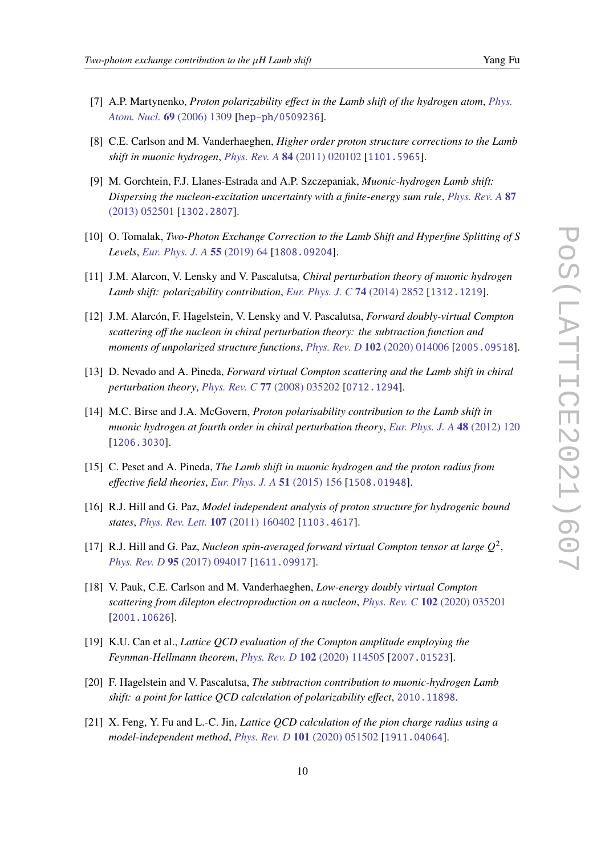- [7] A.P. Martynenko, *Proton polarizability effect in the Lamb shift of the hydrogen atom*, *[Phys.](https://doi.org/10.1134/S1063778806080072) [Atom. Nucl.](https://doi.org/10.1134/S1063778806080072)* **69** (2006) 1309 [[hep-ph/0509236](https://arxiv.org/abs/hep-ph/0509236)].
- <span id="page-9-8"></span>[8] C.E. Carlson and M. Vanderhaeghen, *Higher order proton structure corrections to the Lamb shift in muonic hydrogen*, *[Phys. Rev. A](https://doi.org/10.1103/PhysRevA.84.020102)* **84** (2011) 020102 [[1101.5965](https://arxiv.org/abs/1101.5965)].
- [9] M. Gorchtein, F.J. Llanes-Estrada and A.P. Szczepaniak, *Muonic-hydrogen Lamb shift: Dispersing the nucleon-excitation uncertainty with a finite-energy sum rule*, *[Phys. Rev. A](https://doi.org/10.1103/PhysRevA.87.052501)* **87** [\(2013\) 052501](https://doi.org/10.1103/PhysRevA.87.052501) [[1302.2807](https://arxiv.org/abs/1302.2807)].
- <span id="page-9-0"></span>[10] O. Tomalak, *Two-Photon Exchange Correction to the Lamb Shift and Hyperfine Splitting of S Levels*, *[Eur. Phys. J. A](https://doi.org/10.1140/epja/i2019-12743-1)* **55** (2019) 64 [[1808.09204](https://arxiv.org/abs/1808.09204)].
- <span id="page-9-1"></span>[11] J.M. Alarcon, V. Lensky and V. Pascalutsa, *Chiral perturbation theory of muonic hydrogen Lamb shift: polarizability contribution*, *[Eur. Phys. J. C](https://doi.org/10.1140/epjc/s10052-014-2852-0)* **74** (2014) 2852 [[1312.1219](https://arxiv.org/abs/1312.1219)].
- <span id="page-9-2"></span>[12] J.M. Alarcón, F. Hagelstein, V. Lensky and V. Pascalutsa, *Forward doubly-virtual Compton scattering off the nucleon in chiral perturbation theory: the subtraction function and moments of unpolarized structure functions*, *[Phys. Rev. D](https://doi.org/10.1103/PhysRevD.102.014006)* **102** (2020) 014006 [[2005.09518](https://arxiv.org/abs/2005.09518)].
- <span id="page-9-3"></span>[13] D. Nevado and A. Pineda, *Forward virtual Compton scattering and the Lamb shift in chiral perturbation theory*, *[Phys. Rev. C](https://doi.org/10.1103/PhysRevC.77.035202)* **77** (2008) 035202 [[0712.1294](https://arxiv.org/abs/0712.1294)].
- <span id="page-9-9"></span>[14] M.C. Birse and J.A. McGovern, *Proton polarisability contribution to the Lamb shift in muonic hydrogen at fourth order in chiral perturbation theory*, *[Eur. Phys. J. A](https://doi.org/10.1140/epja/i2012-12120-8)* **48** (2012) 120 [[1206.3030](https://arxiv.org/abs/1206.3030)].
- <span id="page-9-4"></span>[15] C. Peset and A. Pineda, *The Lamb shift in muonic hydrogen and the proton radius from effective field theories*, *[Eur. Phys. J. A](https://doi.org/10.1140/epja/i2015-15156-2)* **51** (2015) 156 [[1508.01948](https://arxiv.org/abs/1508.01948)].
- <span id="page-9-5"></span>[16] R.J. Hill and G. Paz, *Model independent analysis of proton structure for hydrogenic bound states*, *[Phys. Rev. Lett.](https://doi.org/10.1103/PhysRevLett.107.160402)* **107** (2011) 160402 [[1103.4617](https://arxiv.org/abs/1103.4617)].
- <span id="page-9-6"></span>[17] R.J. Hill and G. Paz, *Nucleon spin-averaged forward virtual Compton tensor at large*  $Q^2$ , *[Phys. Rev. D](https://doi.org/10.1103/PhysRevD.95.094017)* **95** (2017) 094017 [[1611.09917](https://arxiv.org/abs/1611.09917)].
- <span id="page-9-7"></span>[18] V. Pauk, C.E. Carlson and M. Vanderhaeghen, *Low-energy doubly virtual Compton scattering from dilepton electroproduction on a nucleon*, *[Phys. Rev. C](https://doi.org/10.1103/PhysRevC.102.035201)* **102** (2020) 035201 [[2001.10626](https://arxiv.org/abs/2001.10626)].
- <span id="page-9-10"></span>[19] K.U. Can et al., *Lattice QCD evaluation of the Compton amplitude employing the Feynman-Hellmann theorem*, *[Phys. Rev. D](https://doi.org/10.1103/PhysRevD.102.114505)* **102** (2020) 114505 [[2007.01523](https://arxiv.org/abs/2007.01523)].
- <span id="page-9-11"></span>[20] F. Hagelstein and V. Pascalutsa, *The subtraction contribution to muonic-hydrogen Lamb shift: a point for lattice QCD calculation of polarizability effect*, [2010.11898](https://arxiv.org/abs/2010.11898).
- <span id="page-9-12"></span>[21] X. Feng, Y. Fu and L.-C. Jin, *Lattice QCD calculation of the pion charge radius using a model-independent method*, *[Phys. Rev. D](https://doi.org/10.1103/PhysRevD.101.051502)* **101** (2020) 051502 [[1911.04064](https://arxiv.org/abs/1911.04064)].